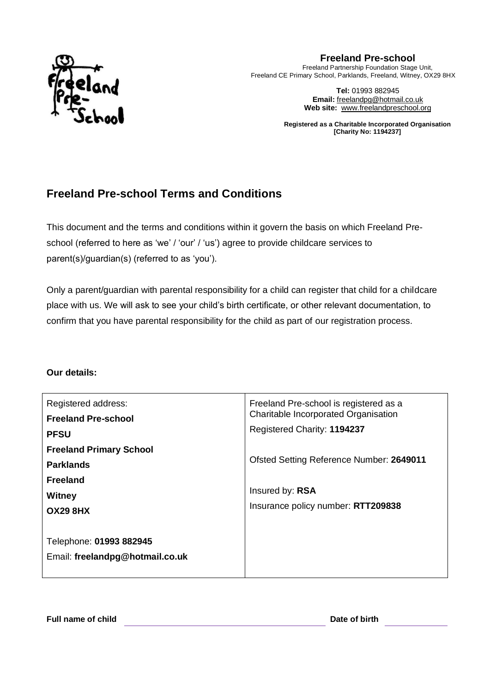

**Freeland Pre-school** Freeland Partnership Foundation Stage Unit, Freeland CE Primary School, Parklands, Freeland, Witney, OX29 8HX

> **Tel:** 01993 882945 **Email:** [freelandpg@hotmail.co.uk](mailto:freelandpg@hotmail.co.uk) **Web site:** [www.freelandpreschool.org](http://www.freelandpreschool.org/)

**Registered as a Charitable Incorporated Organisation [Charity No: 1194237]**

# **Freeland Pre-school Terms and Conditions**

This document and the terms and conditions within it govern the basis on which Freeland Preschool (referred to here as 'we' / 'our' / 'us') agree to provide childcare services to parent(s)/guardian(s) (referred to as 'you').

Only a parent/guardian with parental responsibility for a child can register that child for a childcare place with us. We will ask to see your child's birth certificate, or other relevant documentation, to confirm that you have parental responsibility for the child as part of our registration process.

#### **Our details:**

| Registered address:<br><b>Freeland Pre-school</b>                                                  | Freeland Pre-school is registered as a<br>Charitable Incorporated Organisation                    |  |  |
|----------------------------------------------------------------------------------------------------|---------------------------------------------------------------------------------------------------|--|--|
| <b>PFSU</b>                                                                                        | Registered Charity: 1194237                                                                       |  |  |
| <b>Freeland Primary School</b><br><b>Parklands</b><br><b>Freeland</b><br>Witney<br><b>OX29 8HX</b> | Ofsted Setting Reference Number: 2649011<br>Insured by: RSA<br>Insurance policy number: RTT209838 |  |  |
| Telephone: 01993 882945<br>Email: freelandpg@hotmail.co.uk                                         |                                                                                                   |  |  |

**Full name of child Date of birth**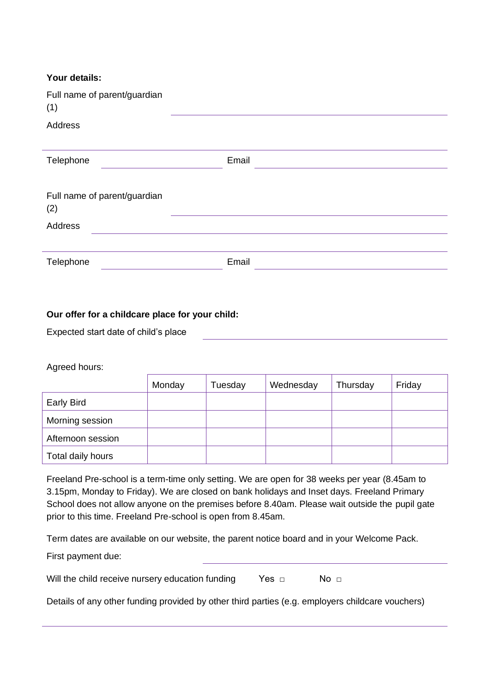| Full name of parent/guardian<br>(1) |       |  |
|-------------------------------------|-------|--|
| Address                             |       |  |
|                                     |       |  |
| Telephone                           | Email |  |
|                                     |       |  |
| Full name of parent/guardian        |       |  |
| (2)                                 |       |  |
| Address                             |       |  |
|                                     |       |  |
| Telephone                           | Email |  |

#### **Our offer for a childcare place for your child:**

Expected start date of child's place

Agreed hours:

|                   | Monday | Tuesday | Wednesday | Thursday | Friday |
|-------------------|--------|---------|-----------|----------|--------|
| Early Bird        |        |         |           |          |        |
| Morning session   |        |         |           |          |        |
| Afternoon session |        |         |           |          |        |
| Total daily hours |        |         |           |          |        |

Freeland Pre-school is a term-time only setting. We are open for 38 weeks per year (8.45am to 3.15pm, Monday to Friday). We are closed on bank holidays and Inset days. Freeland Primary School does not allow anyone on the premises before 8.40am. Please wait outside the pupil gate prior to this time. Freeland Pre-school is open from 8.45am.

Term dates are available on our website, the parent notice board and in your Welcome Pack. First payment due:

Will the child receive nursery education funding Yes □ No □

Details of any other funding provided by other third parties (e.g. employers childcare vouchers)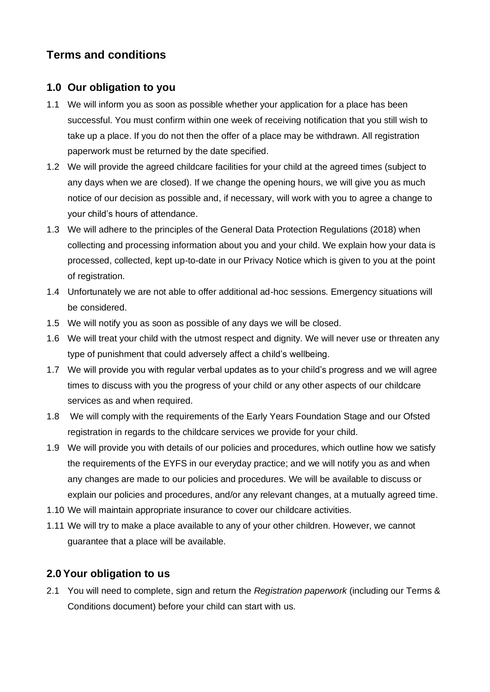# **Terms and conditions**

### **1.0 Our obligation to you**

- 1.1 We will inform you as soon as possible whether your application for a place has been successful. You must confirm within one week of receiving notification that you still wish to take up a place. If you do not then the offer of a place may be withdrawn. All registration paperwork must be returned by the date specified.
- 1.2 We will provide the agreed childcare facilities for your child at the agreed times (subject to any days when we are closed). If we change the opening hours, we will give you as much notice of our decision as possible and, if necessary, will work with you to agree a change to your child's hours of attendance.
- 1.3 We will adhere to the principles of the General Data Protection Regulations (2018) when collecting and processing information about you and your child. We explain how your data is processed, collected, kept up-to-date in our Privacy Notice which is given to you at the point of registration.
- 1.4 Unfortunately we are not able to offer additional ad-hoc sessions. Emergency situations will be considered.
- 1.5 We will notify you as soon as possible of any days we will be closed.
- 1.6 We will treat your child with the utmost respect and dignity. We will never use or threaten any type of punishment that could adversely affect a child's wellbeing.
- 1.7 We will provide you with regular verbal updates as to your child's progress and we will agree times to discuss with you the progress of your child or any other aspects of our childcare services as and when required.
- 1.8 We will comply with the requirements of the Early Years Foundation Stage and our Ofsted registration in regards to the childcare services we provide for your child.
- 1.9 We will provide you with details of our policies and procedures, which outline how we satisfy the requirements of the EYFS in our everyday practice; and we will notify you as and when any changes are made to our policies and procedures. We will be available to discuss or explain our policies and procedures, and/or any relevant changes, at a mutually agreed time.
- 1.10 We will maintain appropriate insurance to cover our childcare activities.
- 1.11 We will try to make a place available to any of your other children. However, we cannot guarantee that a place will be available.

# **2.0Your obligation to us**

2.1 You will need to complete, sign and return the *Registration paperwork* (including our Terms & Conditions document) before your child can start with us.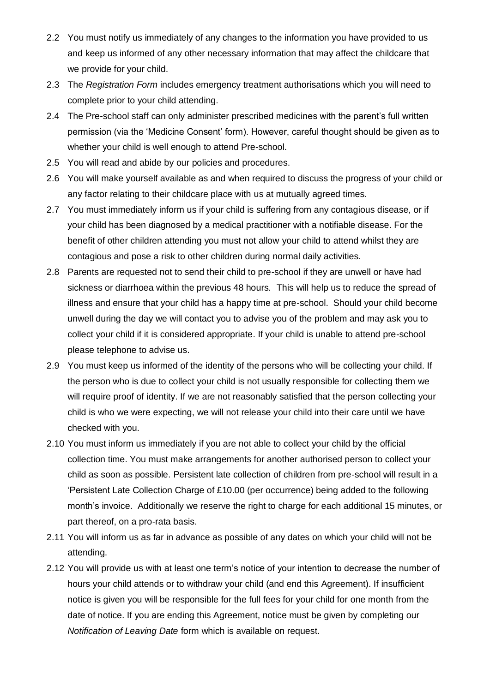- 2.2 You must notify us immediately of any changes to the information you have provided to us and keep us informed of any other necessary information that may affect the childcare that we provide for your child.
- 2.3 The *Registration Form* includes emergency treatment authorisations which you will need to complete prior to your child attending.
- 2.4 The Pre-school staff can only administer prescribed medicines with the parent's full written permission (via the 'Medicine Consent' form). However, careful thought should be given as to whether your child is well enough to attend Pre-school.
- 2.5 You will read and abide by our policies and procedures.
- 2.6 You will make yourself available as and when required to discuss the progress of your child or any factor relating to their childcare place with us at mutually agreed times.
- 2.7 You must immediately inform us if your child is suffering from any contagious disease, or if your child has been diagnosed by a medical practitioner with a notifiable disease. For the benefit of other children attending you must not allow your child to attend whilst they are contagious and pose a risk to other children during normal daily activities.
- 2.8 Parents are requested not to send their child to pre-school if they are unwell or have had sickness or diarrhoea within the previous 48 hours. This will help us to reduce the spread of illness and ensure that your child has a happy time at pre-school. Should your child become unwell during the day we will contact you to advise you of the problem and may ask you to collect your child if it is considered appropriate. If your child is unable to attend pre-school please telephone to advise us.
- 2.9 You must keep us informed of the identity of the persons who will be collecting your child. If the person who is due to collect your child is not usually responsible for collecting them we will require proof of identity. If we are not reasonably satisfied that the person collecting your child is who we were expecting, we will not release your child into their care until we have checked with you.
- 2.10 You must inform us immediately if you are not able to collect your child by the official collection time. You must make arrangements for another authorised person to collect your child as soon as possible. Persistent late collection of children from pre-school will result in a 'Persistent Late Collection Charge of £10.00 (per occurrence) being added to the following month's invoice. Additionally we reserve the right to charge for each additional 15 minutes, or part thereof, on a pro-rata basis.
- 2.11 You will inform us as far in advance as possible of any dates on which your child will not be attending.
- 2.12 You will provide us with at least one term's notice of your intention to decrease the number of hours your child attends or to withdraw your child (and end this Agreement). If insufficient notice is given you will be responsible for the full fees for your child for one month from the date of notice. If you are ending this Agreement, notice must be given by completing our *Notification of Leaving Date* form which is available on request.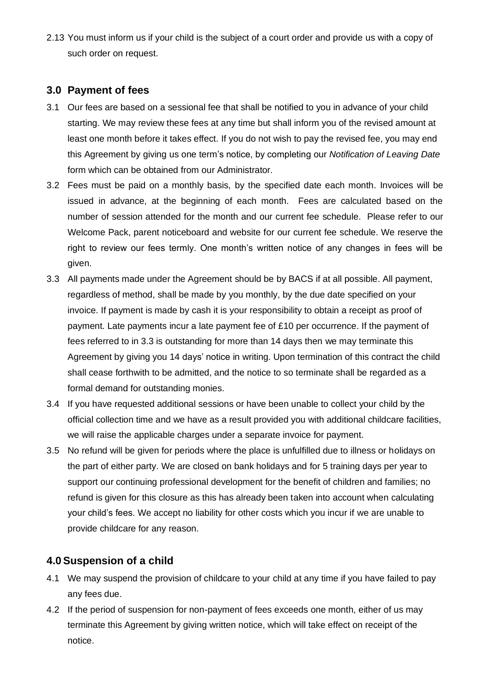2.13 You must inform us if your child is the subject of a court order and provide us with a copy of such order on request.

## **3.0 Payment of fees**

- 3.1 Our fees are based on a sessional fee that shall be notified to you in advance of your child starting. We may review these fees at any time but shall inform you of the revised amount at least one month before it takes effect. If you do not wish to pay the revised fee, you may end this Agreement by giving us one term's notice, by completing our *Notification of Leaving Date* form which can be obtained from our Administrator.
- 3.2 Fees must be paid on a monthly basis, by the specified date each month. Invoices will be issued in advance, at the beginning of each month. Fees are calculated based on the number of session attended for the month and our current fee schedule. Please refer to our Welcome Pack, parent noticeboard and website for our current fee schedule. We reserve the right to review our fees termly. One month's written notice of any changes in fees will be given.
- 3.3 All payments made under the Agreement should be by BACS if at all possible. All payment, regardless of method, shall be made by you monthly, by the due date specified on your invoice. If payment is made by cash it is your responsibility to obtain a receipt as proof of payment. Late payments incur a late payment fee of £10 per occurrence. If the payment of fees referred to in 3.3 is outstanding for more than 14 days then we may terminate this Agreement by giving you 14 days' notice in writing. Upon termination of this contract the child shall cease forthwith to be admitted, and the notice to so terminate shall be regarded as a formal demand for outstanding monies.
- 3.4 If you have requested additional sessions or have been unable to collect your child by the official collection time and we have as a result provided you with additional childcare facilities, we will raise the applicable charges under a separate invoice for payment.
- 3.5 No refund will be given for periods where the place is unfulfilled due to illness or holidays on the part of either party. We are closed on bank holidays and for 5 training days per year to support our continuing professional development for the benefit of children and families; no refund is given for this closure as this has already been taken into account when calculating your child's fees. We accept no liability for other costs which you incur if we are unable to provide childcare for any reason.

# **4.0Suspension of a child**

- 4.1 We may suspend the provision of childcare to your child at any time if you have failed to pay any fees due.
- 4.2 If the period of suspension for non-payment of fees exceeds one month, either of us may terminate this Agreement by giving written notice, which will take effect on receipt of the notice.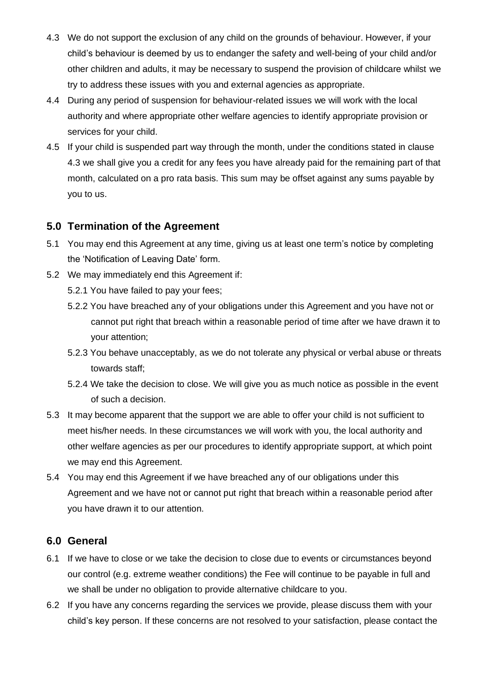- 4.3 We do not support the exclusion of any child on the grounds of behaviour. However, if your child's behaviour is deemed by us to endanger the safety and well-being of your child and/or other children and adults, it may be necessary to suspend the provision of childcare whilst we try to address these issues with you and external agencies as appropriate.
- 4.4 During any period of suspension for behaviour-related issues we will work with the local authority and where appropriate other welfare agencies to identify appropriate provision or services for your child.
- 4.5 If your child is suspended part way through the month, under the conditions stated in clause 4.3 we shall give you a credit for any fees you have already paid for the remaining part of that month, calculated on a pro rata basis. This sum may be offset against any sums payable by you to us.

### **5.0 Termination of the Agreement**

- 5.1 You may end this Agreement at any time, giving us at least one term's notice by completing the 'Notification of Leaving Date' form.
- 5.2 We may immediately end this Agreement if:
	- 5.2.1 You have failed to pay your fees;
	- 5.2.2 You have breached any of your obligations under this Agreement and you have not or cannot put right that breach within a reasonable period of time after we have drawn it to your attention;
	- 5.2.3 You behave unacceptably, as we do not tolerate any physical or verbal abuse or threats towards staff;
	- 5.2.4 We take the decision to close. We will give you as much notice as possible in the event of such a decision.
- 5.3 It may become apparent that the support we are able to offer your child is not sufficient to meet his/her needs. In these circumstances we will work with you, the local authority and other welfare agencies as per our procedures to identify appropriate support, at which point we may end this Agreement.
- 5.4 You may end this Agreement if we have breached any of our obligations under this Agreement and we have not or cannot put right that breach within a reasonable period after you have drawn it to our attention.

### **6.0 General**

- 6.1 If we have to close or we take the decision to close due to events or circumstances beyond our control (e.g. extreme weather conditions) the Fee will continue to be payable in full and we shall be under no obligation to provide alternative childcare to you.
- 6.2 If you have any concerns regarding the services we provide, please discuss them with your child's key person. If these concerns are not resolved to your satisfaction, please contact the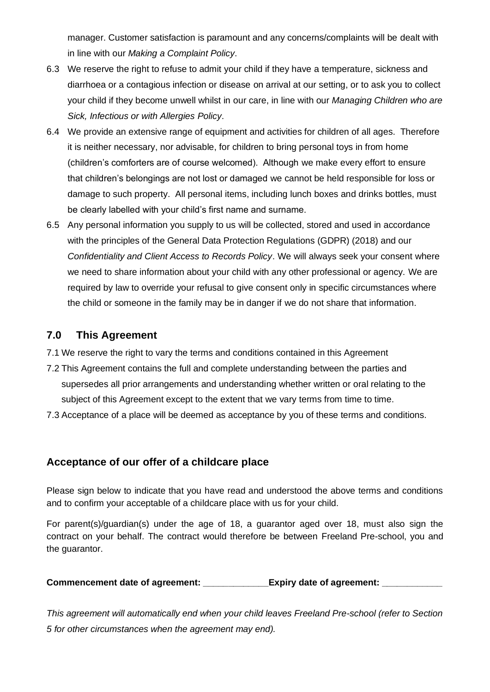manager. Customer satisfaction is paramount and any concerns/complaints will be dealt with in line with our *Making a Complaint Policy*.

- 6.3 We reserve the right to refuse to admit your child if they have a temperature, sickness and diarrhoea or a contagious infection or disease on arrival at our setting, or to ask you to collect your child if they become unwell whilst in our care, in line with our *Managing Children who are Sick, Infectious or with Allergies Policy*.
- 6.4 We provide an extensive range of equipment and activities for children of all ages. Therefore it is neither necessary, nor advisable, for children to bring personal toys in from home (children's comforters are of course welcomed). Although we make every effort to ensure that children's belongings are not lost or damaged we cannot be held responsible for loss or damage to such property. All personal items, including lunch boxes and drinks bottles, must be clearly labelled with your child's first name and surname.
- 6.5 Any personal information you supply to us will be collected, stored and used in accordance with the principles of the General Data Protection Regulations (GDPR) (2018) and our *Confidentiality and Client Access to Records Policy*. We will always seek your consent where we need to share information about your child with any other professional or agency. We are required by law to override your refusal to give consent only in specific circumstances where the child or someone in the family may be in danger if we do not share that information.

## **7.0 This Agreement**

- 7.1 We reserve the right to vary the terms and conditions contained in this Agreement
- 7.2 This Agreement contains the full and complete understanding between the parties and supersedes all prior arrangements and understanding whether written or oral relating to the subject of this Agreement except to the extent that we vary terms from time to time.
- 7.3 Acceptance of a place will be deemed as acceptance by you of these terms and conditions.

### **Acceptance of our offer of a childcare place**

Please sign below to indicate that you have read and understood the above terms and conditions and to confirm your acceptable of a childcare place with us for your child.

For parent(s)/guardian(s) under the age of 18, a guarantor aged over 18, must also sign the contract on your behalf. The contract would therefore be between Freeland Pre-school, you and the guarantor.

**Commencement date of agreement: \_\_\_\_\_\_\_\_\_\_\_\_\_Expiry date of agreement: \_\_\_\_\_\_\_\_\_\_\_\_**

*This agreement will automatically end when your child leaves Freeland Pre-school (refer to Section 5 for other circumstances when the agreement may end).*